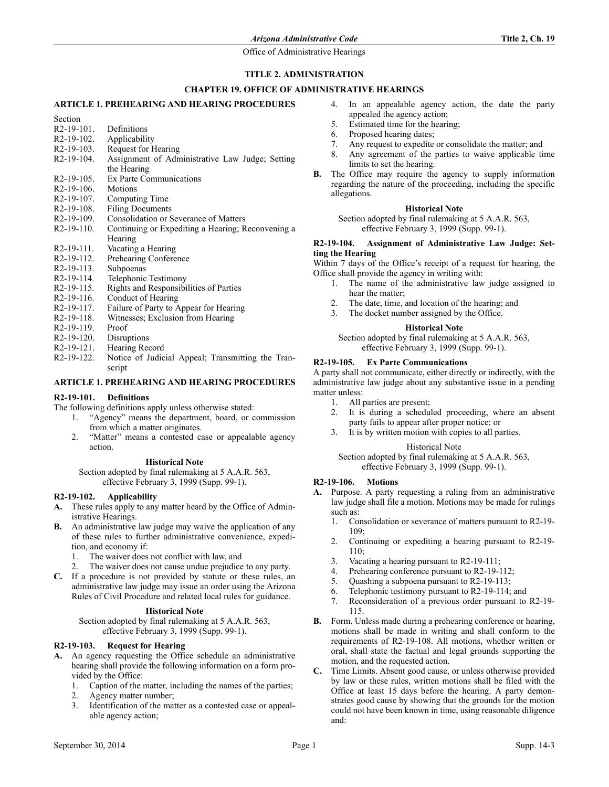# **TITLE 2. ADMINISTRATION**

# **CHAPTER 19. OFFICE OF ADMINISTRATIVE HEARINGS**

# **ARTICLE 1. PREHEARING AND HEARING PROCEDURES**

- Section R2-19-101. Definitions R2-19-102. Applicability R2-19-103. Request for Hearing<br>R2-19-104. Assignment of Adm Assignment of Administrative Law Judge; Setting the Hearing R2-19-105. Ex Parte Communications R2-19-106. Motions R2-19-107. Computing Time R2-19-108. Filing Documents<br>R2-19-109. Consolidation or S Consolidation or Severance of Matters R2-19-110. Continuing or Expediting a Hearing; Reconvening a
- **Hearing**
- R2-19-111. Vacating a Hearing
- R2-19-112. Prehearing Conference
- R2-19-113. Subpoenas<br>R2-19-114. Telephonic
- Telephonic Testimony R2-19-115. Rights and Responsibilities of Parties
- 
- R2-19-116. Conduct of Hearing<br>R2-19-117. Failure of Party to A
- Failure of Party to Appear for Hearing R2-19-118. Witnesses; Exclusion from Hearing
- R2-19-119. Proof
- R2-19-120. Disruptions
- R2-19-121. Hearing Record
- R2-19-122. Notice of Judicial Appeal; Transmitting the Transcript

# **ARTICLE 1. PREHEARING AND HEARING PROCEDURES**

# **R2-19-101. Definitions**

- The following definitions apply unless otherwise stated:
	- 1. "Agency" means the department, board, or commission from which a matter originates.
	- 2. "Matter" means a contested case or appealable agency action.

### **Historical Note**

Section adopted by final rulemaking at 5 A.A.R. 563, effective February 3, 1999 (Supp. 99-1).

# **R2-19-102. Applicability**

- **A.** These rules apply to any matter heard by the Office of Administrative Hearings.
- **B.** An administrative law judge may waive the application of any of these rules to further administrative convenience, expedition, and economy if:
	- 1. The waiver does not conflict with law, and
	- The waiver does not cause undue prejudice to any party.
- **C.** If a procedure is not provided by statute or these rules, an administrative law judge may issue an order using the Arizona Rules of Civil Procedure and related local rules for guidance.

# **Historical Note**

Section adopted by final rulemaking at 5 A.A.R. 563, effective February 3, 1999 (Supp. 99-1).

# **R2-19-103. Request for Hearing**

- **A.** An agency requesting the Office schedule an administrative hearing shall provide the following information on a form provided by the Office:
	- 1. Caption of the matter, including the names of the parties;
	- 2. Agency matter number;
	- 3. Identification of the matter as a contested case or appealable agency action;
- 4. In an appealable agency action, the date the party appealed the agency action;
- 5. Estimated time for the hearing;
- 6. Proposed hearing dates;
- 7. Any request to expedite or consolidate the matter; and
- 8. Any agreement of the parties to waive applicable time limits to set the hearing.
- **B.** The Office may require the agency to supply information regarding the nature of the proceeding, including the specific allegations.

### **Historical Note**

Section adopted by final rulemaking at 5 A.A.R. 563, effective February 3, 1999 (Supp. 99-1).

### **R2-19-104. Assignment of Administrative Law Judge: Setting the Hearing**

Within 7 days of the Office's receipt of a request for hearing, the Office shall provide the agency in writing with:

- 1. The name of the administrative law judge assigned to hear the matter;
- 2. The date, time, and location of the hearing; and
- 3. The docket number assigned by the Office.

# **Historical Note**

Section adopted by final rulemaking at 5 A.A.R. 563, effective February 3, 1999 (Supp. 99-1).

## **R2-19-105. Ex Parte Communications**

A party shall not communicate, either directly or indirectly, with the administrative law judge about any substantive issue in a pending matter unless:

- 1. All parties are present;
- 2. It is during a scheduled proceeding, where an absent party fails to appear after proper notice; or
- 3. It is by written motion with copies to all parties.

## Historical Note

Section adopted by final rulemaking at 5 A.A.R. 563, effective February 3, 1999 (Supp. 99-1).

### **R2-19-106. Motions**

- **A.** Purpose. A party requesting a ruling from an administrative law judge shall file a motion. Motions may be made for rulings such as:
	- 1. Consolidation or severance of matters pursuant to R2-19- 109;
	- 2. Continuing or expediting a hearing pursuant to R2-19-  $110$
	- 3. Vacating a hearing pursuant to R2-19-111;
	- 4. Prehearing conference pursuant to R2-19-112;
	- 5. Quashing a subpoena pursuant to R2-19-113;
	- 6. Telephonic testimony pursuant to R2-19-114; and
	- 7. Reconsideration of a previous order pursuant to R2-19- 115.
- **B.** Form. Unless made during a prehearing conference or hearing, motions shall be made in writing and shall conform to the requirements of R2-19-108. All motions, whether written or oral, shall state the factual and legal grounds supporting the motion, and the requested action.
- **C.** Time Limits. Absent good cause, or unless otherwise provided by law or these rules, written motions shall be filed with the Office at least 15 days before the hearing. A party demonstrates good cause by showing that the grounds for the motion could not have been known in time, using reasonable diligence and: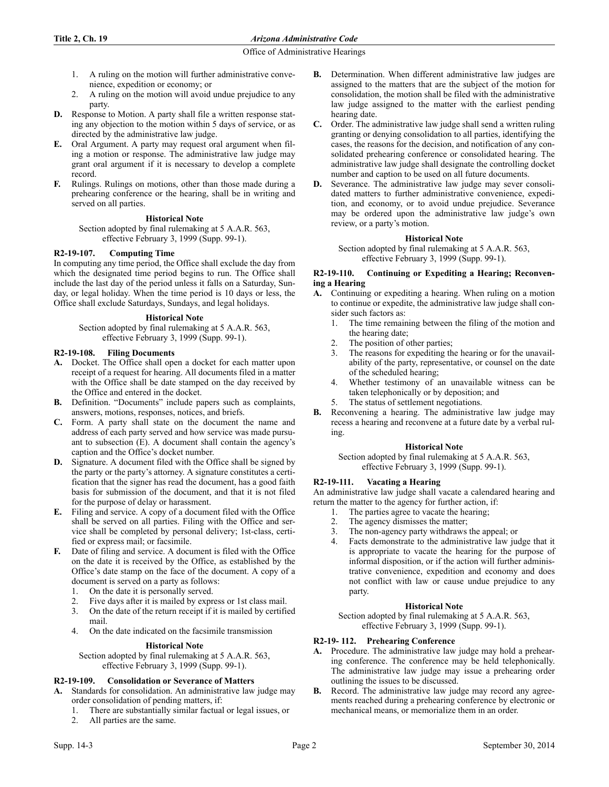- 1. A ruling on the motion will further administrative convenience, expedition or economy; or
- 2. A ruling on the motion will avoid undue prejudice to any party.
- **D.** Response to Motion. A party shall file a written response stating any objection to the motion within 5 days of service, or as directed by the administrative law judge.
- **E.** Oral Argument. A party may request oral argument when filing a motion or response. The administrative law judge may grant oral argument if it is necessary to develop a complete record.
- **F.** Rulings. Rulings on motions, other than those made during a prehearing conference or the hearing, shall be in writing and served on all parties.

# **Historical Note**

Section adopted by final rulemaking at 5 A.A.R. 563, effective February 3, 1999 (Supp. 99-1).

# **R2-19-107. Computing Time**

In computing any time period, the Office shall exclude the day from which the designated time period begins to run. The Office shall include the last day of the period unless it falls on a Saturday, Sunday, or legal holiday. When the time period is 10 days or less, the Office shall exclude Saturdays, Sundays, and legal holidays.

# **Historical Note**

Section adopted by final rulemaking at 5 A.A.R. 563, effective February 3, 1999 (Supp. 99-1).

# **R2-19-108. Filing Documents**

- **A.** Docket. The Office shall open a docket for each matter upon receipt of a request for hearing. All documents filed in a matter with the Office shall be date stamped on the day received by the Office and entered in the docket.
- **B.** Definition. "Documents" include papers such as complaints, answers, motions, responses, notices, and briefs.
- **C.** Form. A party shall state on the document the name and address of each party served and how service was made pursuant to subsection (E). A document shall contain the agency's caption and the Office's docket number.
- **D.** Signature. A document filed with the Office shall be signed by the party or the party's attorney. A signature constitutes a certification that the signer has read the document, has a good faith basis for submission of the document, and that it is not filed for the purpose of delay or harassment.
- **E.** Filing and service. A copy of a document filed with the Office shall be served on all parties. Filing with the Office and service shall be completed by personal delivery; 1st-class, certified or express mail; or facsimile.
- **F.** Date of filing and service. A document is filed with the Office on the date it is received by the Office, as established by the Office's date stamp on the face of the document. A copy of a document is served on a party as follows:
	- 1. On the date it is personally served.
	- 2. Five days after it is mailed by express or 1st class mail.
	- 3. On the date of the return receipt if it is mailed by certified mail.
	- 4. On the date indicated on the facsimile transmission

### **Historical Note**

Section adopted by final rulemaking at 5 A.A.R. 563, effective February 3, 1999 (Supp. 99-1).

# **R2-19-109. Consolidation or Severance of Matters**

- **A.** Standards for consolidation. An administrative law judge may order consolidation of pending matters, if:
	- 1. There are substantially similar factual or legal issues, or
	- 2. All parties are the same.
- **B.** Determination. When different administrative law judges are assigned to the matters that are the subject of the motion for consolidation, the motion shall be filed with the administrative law judge assigned to the matter with the earliest pending hearing date.
- **C.** Order. The administrative law judge shall send a written ruling granting or denying consolidation to all parties, identifying the cases, the reasons for the decision, and notification of any consolidated prehearing conference or consolidated hearing. The administrative law judge shall designate the controlling docket number and caption to be used on all future documents.
- **D.** Severance. The administrative law judge may sever consolidated matters to further administrative convenience, expedition, and economy, or to avoid undue prejudice. Severance may be ordered upon the administrative law judge's own review, or a party's motion.

# **Historical Note**

Section adopted by final rulemaking at 5 A.A.R. 563, effective February 3, 1999 (Supp. 99-1).

# **R2-19-110. Continuing or Expediting a Hearing; Reconvening a Hearing**

- **A.** Continuing or expediting a hearing. When ruling on a motion to continue or expedite, the administrative law judge shall consider such factors as:
	- 1. The time remaining between the filing of the motion and the hearing date;
	- 2. The position of other parties;
	- 3. The reasons for expediting the hearing or for the unavailability of the party, representative, or counsel on the date of the scheduled hearing;
	- 4. Whether testimony of an unavailable witness can be taken telephonically or by deposition; and
	- 5. The status of settlement negotiations.
- **B.** Reconvening a hearing. The administrative law judge may recess a hearing and reconvene at a future date by a verbal ruling.

### **Historical Note**

Section adopted by final rulemaking at 5 A.A.R. 563, effective February 3, 1999 (Supp. 99-1).

### **R2-19-111. Vacating a Hearing**

An administrative law judge shall vacate a calendared hearing and return the matter to the agency for further action, if:

- 1. The parties agree to vacate the hearing;
- 2. The agency dismisses the matter;
- 3. The non-agency party withdraws the appeal; or
- 4. Facts demonstrate to the administrative law judge that it is appropriate to vacate the hearing for the purpose of informal disposition, or if the action will further administrative convenience, expedition and economy and does not conflict with law or cause undue prejudice to any party.

### **Historical Note**

Section adopted by final rulemaking at 5 A.A.R. 563, effective February 3, 1999 (Supp. 99-1).

## **R2-19- 112. Prehearing Conference**

- **A.** Procedure. The administrative law judge may hold a prehearing conference. The conference may be held telephonically. The administrative law judge may issue a prehearing order outlining the issues to be discussed.
- **B.** Record. The administrative law judge may record any agreements reached during a prehearing conference by electronic or mechanical means, or memorialize them in an order.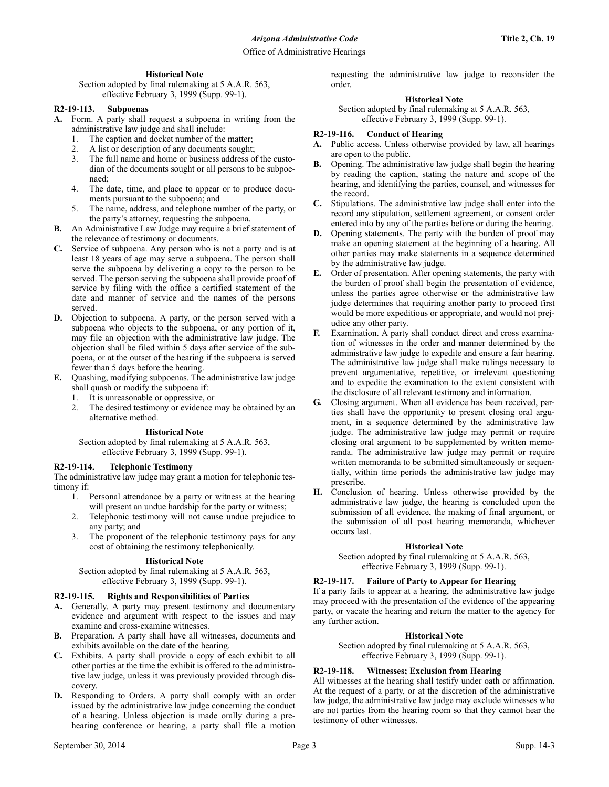# **Historical Note**

Section adopted by final rulemaking at 5 A.A.R. 563, effective February 3, 1999 (Supp. 99-1).

# **R2-19-113. Subpoenas**

**A.** Form. A party shall request a subpoena in writing from the administrative law judge and shall include:

- 1. The caption and docket number of the matter;
- 2. A list or description of any documents sought;
- 3. The full name and home or business address of the custodian of the documents sought or all persons to be subpoenaed;
- 4. The date, time, and place to appear or to produce documents pursuant to the subpoena; and
- 5. The name, address, and telephone number of the party, or the party's attorney, requesting the subpoena.
- **B.** An Administrative Law Judge may require a brief statement of the relevance of testimony or documents.
- **C.** Service of subpoena. Any person who is not a party and is at least 18 years of age may serve a subpoena. The person shall serve the subpoena by delivering a copy to the person to be served. The person serving the subpoena shall provide proof of service by filing with the office a certified statement of the date and manner of service and the names of the persons served.
- **D.** Objection to subpoena. A party, or the person served with a subpoena who objects to the subpoena, or any portion of it, may file an objection with the administrative law judge. The objection shall be filed within 5 days after service of the subpoena, or at the outset of the hearing if the subpoena is served fewer than 5 days before the hearing.
- **E.** Quashing, modifying subpoenas. The administrative law judge shall quash or modify the subpoena if:
	- 1. It is unreasonable or oppressive, or
	- 2. The desired testimony or evidence may be obtained by an alternative method.

### **Historical Note**

Section adopted by final rulemaking at 5 A.A.R. 563, effective February 3, 1999 (Supp. 99-1).

### **R2-19-114. Telephonic Testimony**

The administrative law judge may grant a motion for telephonic testimony if:

- 1. Personal attendance by a party or witness at the hearing will present an undue hardship for the party or witness;
- 2. Telephonic testimony will not cause undue prejudice to any party; and
- 3. The proponent of the telephonic testimony pays for any cost of obtaining the testimony telephonically.

### **Historical Note**

Section adopted by final rulemaking at 5 A.A.R. 563, effective February 3, 1999 (Supp. 99-1).

# **R2-19-115. Rights and Responsibilities of Parties**

- **A.** Generally. A party may present testimony and documentary evidence and argument with respect to the issues and may examine and cross-examine witnesses.
- **B.** Preparation. A party shall have all witnesses, documents and exhibits available on the date of the hearing.
- **C.** Exhibits. A party shall provide a copy of each exhibit to all other parties at the time the exhibit is offered to the administrative law judge, unless it was previously provided through discovery.
- **D.** Responding to Orders. A party shall comply with an order issued by the administrative law judge concerning the conduct of a hearing. Unless objection is made orally during a prehearing conference or hearing, a party shall file a motion

requesting the administrative law judge to reconsider the order.

## **Historical Note**

Section adopted by final rulemaking at 5 A.A.R. 563, effective February 3, 1999 (Supp. 99-1).

# **R2-19-116. Conduct of Hearing**

- **A.** Public access. Unless otherwise provided by law, all hearings are open to the public.
- **B.** Opening. The administrative law judge shall begin the hearing by reading the caption, stating the nature and scope of the hearing, and identifying the parties, counsel, and witnesses for the record.
- **C.** Stipulations. The administrative law judge shall enter into the record any stipulation, settlement agreement, or consent order entered into by any of the parties before or during the hearing.
- **D.** Opening statements. The party with the burden of proof may make an opening statement at the beginning of a hearing. All other parties may make statements in a sequence determined by the administrative law judge.
- **E.** Order of presentation. After opening statements, the party with the burden of proof shall begin the presentation of evidence, unless the parties agree otherwise or the administrative law judge determines that requiring another party to proceed first would be more expeditious or appropriate, and would not prejudice any other party.
- **F.** Examination. A party shall conduct direct and cross examination of witnesses in the order and manner determined by the administrative law judge to expedite and ensure a fair hearing. The administrative law judge shall make rulings necessary to prevent argumentative, repetitive, or irrelevant questioning and to expedite the examination to the extent consistent with the disclosure of all relevant testimony and information.
- **G.** Closing argument. When all evidence has been received, parties shall have the opportunity to present closing oral argument, in a sequence determined by the administrative law judge. The administrative law judge may permit or require closing oral argument to be supplemented by written memoranda. The administrative law judge may permit or require written memoranda to be submitted simultaneously or sequentially, within time periods the administrative law judge may prescribe.
- **H.** Conclusion of hearing. Unless otherwise provided by the administrative law judge, the hearing is concluded upon the submission of all evidence, the making of final argument, or the submission of all post hearing memoranda, whichever occurs last.

# **Historical Note**

Section adopted by final rulemaking at 5 A.A.R. 563, effective February 3, 1999 (Supp. 99-1).

# **R2-19-117. Failure of Party to Appear for Hearing**

If a party fails to appear at a hearing, the administrative law judge may proceed with the presentation of the evidence of the appearing party, or vacate the hearing and return the matter to the agency for any further action.

### **Historical Note**

Section adopted by final rulemaking at 5 A.A.R. 563, effective February 3, 1999 (Supp. 99-1).

# **R2-19-118. Witnesses; Exclusion from Hearing**

All witnesses at the hearing shall testify under oath or affirmation. At the request of a party, or at the discretion of the administrative law judge, the administrative law judge may exclude witnesses who are not parties from the hearing room so that they cannot hear the testimony of other witnesses.